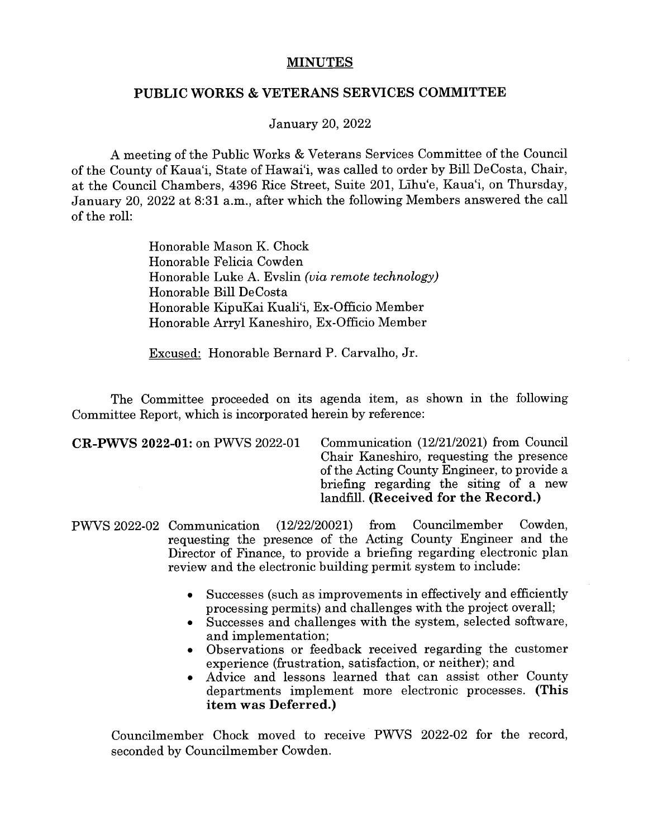## MINUTES

## PUBLIC WORKS & VETERANS SERVICES COMMITTEE

January 20, 2022

A meeting of the Public Works & Veterans Services Committee of the Council of the County of Kaua'i, State of Hawai'i, was called to order by Bill DeCosta, Chair, at the Council Chambers, 4396 Rice Street, Suite 201, Lihu'e, Kaua'i, on Thursday, January 20, 2022 at 8:31 a.m., after which the following Members answered the call of the roll:

> Honorable Mason K. Chock Honorable Felicia Cowden Honorable Luke A. Evslin (via remote technology) Honorable Bill DeCosta Honorable KipuKai Kuali'i, Ex-Officio Member Honorable Arryl Kaneshiro, Ex-Officio Member

Excused: Honorable Bernard P. Carvalho, Jr.

The Committee proceeded on its agenda item, as shown in the following Committee Report, which is incorporated herein by reference:

CR-PWVS 2022-01: on PWVS 2022-01 Communication (12/21/2021) from Council Chair Kaneshiro, requesting the presence of the Acting County Engineer, to provide a briefing regarding the siting of a new landfill. (Received for the Record.)

- PWVS 2022-02 Communication (12/22/20021) from Councilmember Cowden, requesting the presence of the Acting County Engineer and the Director of Finance, to provide a briefing regarding electronic plan review and the electronic building permit system to include:
	- Successes (such as improvements in effectively and efficiently processing permits) and challenges with the project overall;
	- Successes and challenges with the system, selected software, and implementation;
	- Observations or feedback received regarding the customer experience (frustration, satisfaction, or neither); and
	- Advice and lessons learned that can assist other County departments implement more electronic processes. (This item was Deferred.)

Councilmember Chock moved to receive PWVS 2022-02 for the record, seconded by Councilmember Cowden.